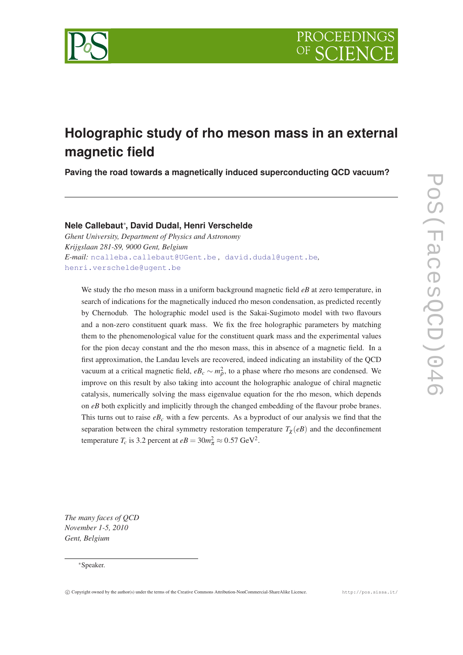

# **Holographic study of rho meson mass in an external magnetic field**

**Paving the road towards a magnetically induced superconducting QCD vacuum?**

# **Nele Callebaut**<sup>∗</sup> **, David Dudal, Henri Verschelde**

*Ghent University, Department of Physics and Astronomy Krijgslaan 281-S9, 9000 Gent, Belgium E-mail:* [ncalleba.callebaut@UGent.be](mailto:ncalleba.callebaut@UGent.be) *,* [david.dudal@ugent.be](mailto: david.dudal@ugent.be)*[,](mailto: henri.verschelde@ugent.be)* [henri.verschelde@ugent.be](mailto: henri.verschelde@ugent.be)

We study the rho meson mass in a uniform background magnetic field *eB* at zero temperature, in search of indications for the magnetically induced rho meson condensation, as predicted recently by Chernodub. The holographic model used is the Sakai-Sugimoto model with two flavours and a non-zero constituent quark mass. We fix the free holographic parameters by matching them to the phenomenological value for the constituent quark mass and the experimental values for the pion decay constant and the rho meson mass, this in absence of a magnetic field. In a first approximation, the Landau levels are recovered, indeed indicating an instability of the QCD vacuum at a critical magnetic field,  $eB_c \sim m_\rho^2$ , to a phase where rho mesons are condensed. We improve on this result by also taking into account the holographic analogue of chiral magnetic catalysis, numerically solving the mass eigenvalue equation for the rho meson, which depends on *eB* both explicitly and implicitly through the changed embedding of the flavour probe branes. This turns out to raise  $e_{\text{c}}$  with a few percents. As a byproduct of our analysis we find that the separation between the chiral symmetry restoration temperature  $T_{\chi}(eB)$  and the deconfinement temperature  $T_c$  is 3.2 percent at  $eB = 30m_\pi^2 \approx 0.57 \text{ GeV}^2$ .

*The many faces of QCD November 1-5, 2010 Gent, Belgium*

### <sup>∗</sup>Speaker.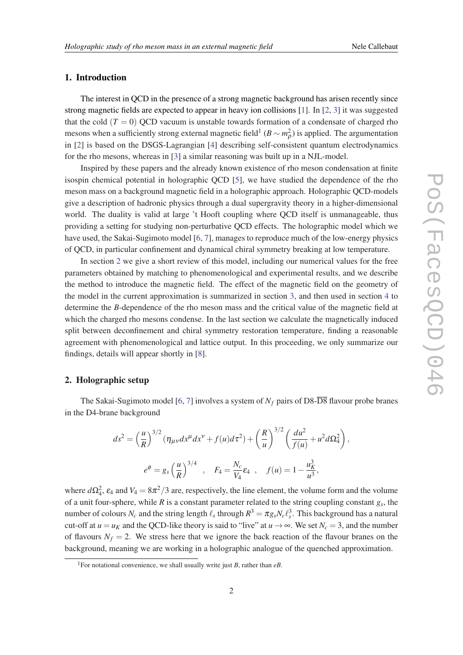# 1. Introduction

The interest in QCD in the presence of a strong magnetic background has arisen recently since strong magnetic fields are expected to appear in heavy ion collisions [\[1\]](#page-7-0). In [[2](#page-7-0), [3](#page-7-0)] it was suggested that the cold  $(T = 0)$  QCD vacuum is unstable towards formation of a condensate of charged rho mesons when a sufficiently strong external magnetic field<sup>1</sup> ( $B \sim m_\rho^2$ ) is applied. The argumentation in [\[2](#page-7-0)] is based on the DSGS-Lagrangian [[4\]](#page-7-0) describing self-consistent quantum electrodynamics for the rho mesons, whereas in [[3](#page-7-0)] a similar reasoning was built up in a NJL-model.

Inspired by these papers and the already known existence of rho meson condensation at finite isospin chemical potential in holographic QCD [\[5\]](#page-7-0), we have studied the dependence of the rho meson mass on a background magnetic field in a holographic approach. Holographic QCD-models give a description of hadronic physics through a dual supergravity theory in a higher-dimensional world. The duality is valid at large 't Hooft coupling where QCD itself is unmanageable, thus providing a setting for studying non-perturbative QCD effects. The holographic model which we have used, the Sakai-Sugimoto model [\[6,](#page-7-0) [7](#page-7-0)], manages to reproduce much of the low-energy physics of QCD, in particular confinement and dynamical chiral symmetry breaking at low temperature.

In section 2 we give a short review of this model, including our numerical values for the free parameters obtained by matching to phenomenological and experimental results, and we describe the method to introduce the magnetic field. The effect of the magnetic field on the geometry of the model in the current approximation is summarized in section [3](#page-4-0), and then used in section [4](#page-4-0) to determine the *B*-dependence of the rho meson mass and the critical value of the magnetic field at which the charged rho mesons condense. In the last section we calculate the magnetically induced split between deconfinement and chiral symmetry restoration temperature, finding a reasonable agreement with phenomenological and lattice output. In this proceeding, we only summarize our findings, details will appear shortly in [[8\]](#page-7-0).

# 2. Holographic setup

The Sakai-Sugimoto model [\[6](#page-7-0), [7](#page-7-0)] involves a system of  $N_f$  pairs of D8- $\overline{DS}$  flavour probe branes in the D4-brane background

$$
ds^{2} = \left(\frac{u}{R}\right)^{3/2} \left(\eta_{\mu\nu} dx^{\mu} dx^{\nu} + f(u)d\tau^{2}\right) + \left(\frac{R}{u}\right)^{3/2} \left(\frac{du^{2}}{f(u)} + u^{2}d\Omega_{4}^{2}\right),
$$
  

$$
e^{\phi} = g_{s} \left(\frac{u}{R}\right)^{3/4}, \quad F_{4} = \frac{N_{c}}{V_{4}} \varepsilon_{4}, \quad f(u) = 1 - \frac{u_{K}^{3}}{u^{3}},
$$

where  $d\Omega_4^2$ ,  $\varepsilon_4$  and  $V_4 = 8\pi^2/3$  are, respectively, the line element, the volume form and the volume of a unit four-sphere, while *R* is a constant parameter related to the string coupling constant *g<sup>s</sup>* , the number of colours  $N_c$  and the string length  $\ell_s$  through  $R^3 = \pi g_s N_c \ell_s^3$ . This background has a natural cut-off at  $u = u_K$  and the QCD-like theory is said to "live" at  $u \to \infty$ . We set  $N_c = 3$ , and the number of flavours  $N_f = 2$ . We stress here that we ignore the back reaction of the flavour branes on the background, meaning we are working in a holographic analogue of the quenched approximation.

<sup>&</sup>lt;sup>1</sup>For notational convenience, we shall usually write just *B*, rather than  $eB$ .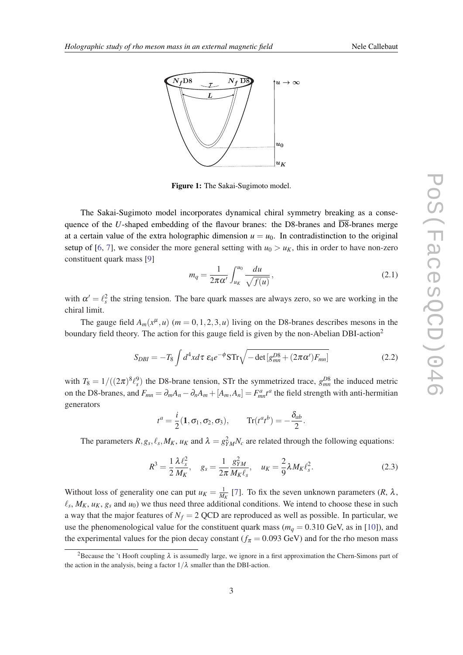<span id="page-2-0"></span>

Figure 1: The Sakai-Sugimoto model.

The Sakai-Sugimoto model incorporates dynamical chiral symmetry breaking as a consequence of the *U*-shaped embedding of the flavour branes: the D8-branes and D8-branes merge at a certain value of the extra holographic dimension  $u = u_0$ . In contradistinction to the original setup of [\[6,](#page-7-0) [7](#page-7-0)], we consider the more general setting with  $u_0 > u_K$ , this in order to have non-zero constituent quark mass [[9](#page-7-0)]

$$
m_q = \frac{1}{2\pi\alpha'} \int_{u_K}^{u_0} \frac{du}{\sqrt{f(u)}},\qquad(2.1)
$$

with  $\alpha' = \ell_s^2$  the string tension. The bare quark masses are always zero, so we are working in the chiral limit.

The gauge field  $A_m(x^{\mu}, u)$  ( $m = 0, 1, 2, 3, u$ ) living on the D8-branes describes mesons in the boundary field theory. The action for this gauge field is given by the non-Abelian DBI-action<sup>2</sup>

$$
S_{DBI} = -T_8 \int d^4x d\tau \ \varepsilon_4 e^{-\phi} S \text{Tr} \sqrt{-\det[g_{mn}^{D8} + (2\pi\alpha')F_{mn}]}
$$
 (2.2)

with  $T_8 = 1/((2\pi)^8 \ell_s^9)$  the D8-brane tension, STr the symmetrized trace,  $g_{mn}^{DS}$  the induced metric on the D8-branes, and  $F_{mn} = \partial_m A_n - \partial_n A_m + [A_m, A_n] = F_{mn}^a t^a$  the field strength with anti-hermitian generators

$$
t^a = \frac{i}{2}(\mathbf{1}, \sigma_1, \sigma_2, \sigma_3), \qquad \text{Tr}(t^a t^b) = -\frac{\delta_{ab}}{2}.
$$

The parameters  $R$ ,  $g_s$ ,  $\ell_s$ ,  $M_K$ ,  $u_K$  and  $\lambda = g^2_{YM}N_c$  are related through the following equations:

$$
R^{3} = \frac{1}{2} \frac{\lambda \ell_{s}^{2}}{M_{K}}, \quad g_{s} = \frac{1}{2\pi} \frac{g_{YM}^{2}}{M_{K} \ell_{s}}, \quad u_{K} = \frac{2}{9} \lambda M_{K} \ell_{s}^{2}.
$$
 (2.3)

Without loss of generality one can put  $u_K = \frac{1}{M_K}$  [\[7\]](#page-7-0). To fix the seven unknown parameters  $(R, \lambda, R)$  $\ell_s$ ,  $M_K$ ,  $u_K$ ,  $g_s$  and  $u_0$ ) we thus need three additional conditions. We intend to choose these in such a way that the major features of  $N_f = 2$  QCD are reproduced as well as possible. In particular, we use the phenomenological value for the constituent quark mass ( $m<sub>q</sub> = 0.310$  GeV, as in [\[10](#page-7-0)]), and the experimental values for the pion decay constant ( $f_{\pi} = 0.093$  GeV) and for the rho meson mass

<sup>&</sup>lt;sup>2</sup>Because the 't Hooft coupling  $\lambda$  is assumedly large, we ignore in a first approximation the Chern-Simons part of the action in the analysis, being a factor  $1/\lambda$  smaller than the DBI-action.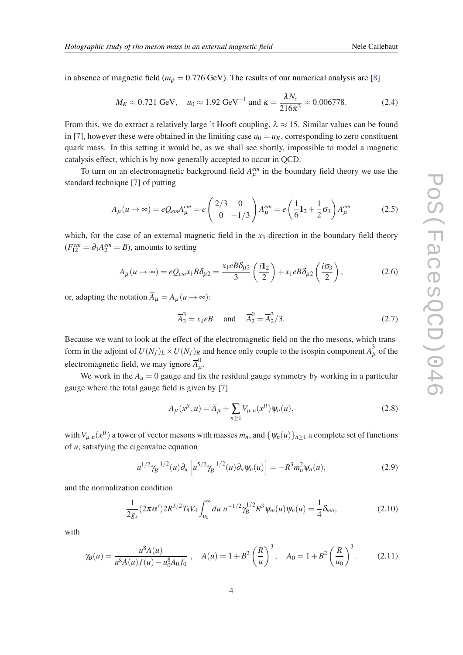<span id="page-3-0"></span>in absence of magnetic field ( $m<sub>Q</sub> = 0.776$  GeV). The results of our numerical analysis are [[8](#page-7-0)]

$$
M_K \approx 0.721 \text{ GeV}, \quad u_0 \approx 1.92 \text{ GeV}^{-1} \text{ and } \kappa = \frac{\lambda N_c}{216\pi^3} \approx 0.006778.
$$
 (2.4)

From this, we do extract a relatively large 't Hooft coupling,  $\lambda \approx 15$ . Similar values can be found in [\[7\]](#page-7-0), however these were obtained in the limiting case  $u_0 = u_K$ , corresponding to zero constituent quark mass. In this setting it would be, as we shall see shortly, impossible to model a magnetic catalysis effect, which is by now generally accepted to occur in QCD.

To turn on an electromagnetic background field  $A_{\mu}^{em}$  in the boundary field theory we use the standard technique [[7](#page-7-0)] of putting

$$
A_{\mu}(u \to \infty) = eQ_{em}A_{\mu}^{em} = e \begin{pmatrix} 2/3 & 0 \\ 0 & -1/3 \end{pmatrix} A_{\mu}^{em} = e \left( \frac{1}{6} \mathbf{1}_2 + \frac{1}{2} \sigma_3 \right) A_{\mu}^{em}
$$
(2.5)

which, for the case of an external magnetic field in the *x*<sub>3</sub>-direction in the boundary field theory  $(F_{12}^{em} = \partial_1 A_2^{em} = B)$ , amounts to setting

$$
A_{\mu}(u \to \infty) = eQ_{em}x_1B\delta_{\mu 2} = \frac{x_1eB\delta_{\mu 2}}{3}\left(\frac{i1_2}{2}\right) + x_1eB\delta_{\mu 2}\left(\frac{i\sigma_3}{2}\right),\tag{2.6}
$$

or, adapting the notation  $\overline{A}_{\mu} = A_{\mu} (u \rightarrow \infty)$ :

$$
\overline{A}_2^3 = x_1 eB \quad \text{and} \quad \overline{A}_2^0 = \overline{A}_2^3 / 3. \tag{2.7}
$$

Because we want to look at the effect of the electromagnetic field on the rho mesons, which transform in the adjoint of  $U(N_f)_L \times U(N_f)_R$  and hence only couple to the isospin component  $\overline{A}_{\mu}^3$  of the electromagnetic field, we may ignore  $\overline{A}_{\mu}^{0}$ µ .

We work in the  $A<sub>u</sub> = 0$  gauge and fix the residual gauge symmetry by working in a particular gauge where the total gauge field is given by [\[7\]](#page-7-0)

$$
A_{\mu}(x^{\mu}, u) = \overline{A}_{\mu} + \sum_{n \ge 1} V_{\mu, n}(x^{\mu}) \psi_n(u), \qquad (2.8)
$$

with  $V_{\mu,n}(x^{\mu})$  a tower of vector mesons with masses  $m_n$ , and  $\{\psi_n(u)\}_{n\geq 1}$  a complete set of functions of *u*, satisfying the eigenvalue equation

$$
u^{1/2} \gamma_B^{-1/2}(u) \partial_u \left[ u^{5/2} \gamma_B^{-1/2}(u) \partial_u \psi_n(u) \right] = -R^3 m_n^2 \psi_n(u), \qquad (2.9)
$$

and the normalization condition

$$
\frac{1}{2g_s}(2\pi\alpha')2R^{3/2}T_8V_4\int_{u_0}^{\infty}du \ u^{-1/2}\gamma_B^{1/2}R^3\psi_m(u)\psi_n(u) = \frac{1}{4}\delta_{mn},\tag{2.10}
$$

with

$$
\gamma_B(u) = \frac{u^8 A(u)}{u^8 A(u) f(u) - u_0^8 A_0 f_0}, \quad A(u) = 1 + B^2 \left(\frac{R}{u}\right)^3, \quad A_0 = 1 + B^2 \left(\frac{R}{u_0}\right)^3. \tag{2.11}
$$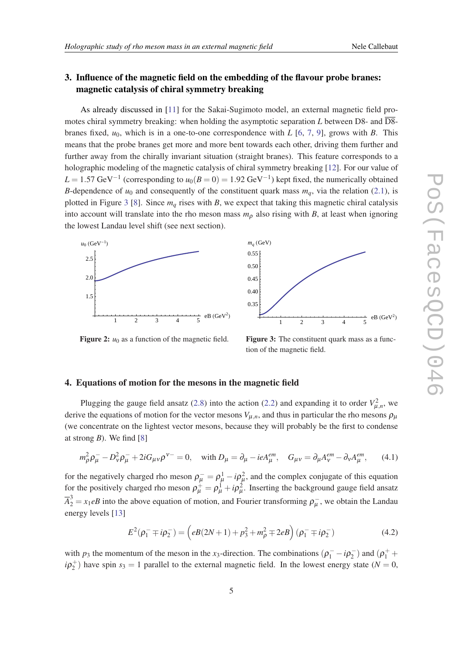# <span id="page-4-0"></span>3. Influence of the magnetic field on the embedding of the flavour probe branes: magnetic catalysis of chiral symmetry breaking

As already discussed in [\[11\]](#page-7-0) for the Sakai-Sugimoto model, an external magnetic field promotes chiral symmetry breaking: when holding the asymptotic separation *L* between D8- and D8 branes fixed, *u*0, which is in a one-to-one correspondence with *L* [\[6,](#page-7-0) [7,](#page-7-0) [9\]](#page-7-0), grows with *B*. This means that the probe branes get more and more bent towards each other, driving them further and further away from the chirally invariant situation (straight branes). This feature corresponds to a holographic modeling of the magnetic catalysis of chiral symmetry breaking [[12\]](#page-7-0). For our value of  $L = 1.57 \text{ GeV}^{-1}$  (corresponding to  $u_0(B=0) = 1.92 \text{ GeV}^{-1}$ ) kept fixed, the numerically obtained *B*-dependence of  $u_0$  and consequently of the constituent quark mass  $m_q$ , via the relation [\(2.1\)](#page-2-0), is plotted in Figure 3 [[8](#page-7-0)]. Since  $m_q$  rises with *B*, we expect that taking this magnetic chiral catalysis into account will translate into the rho meson mass  $m<sub>0</sub>$  also rising with *B*, at least when ignoring the lowest Landau level shift (see next section).





Figure 2:  $u_0$  as a function of the magnetic field.

Figure 3: The constituent quark mass as a function of the magnetic field.

### 4. Equations of motion for the mesons in the magnetic field

Plugging the gauge field ansatz [\(2.8\)](#page-3-0) into the action ([2.2\)](#page-2-0) and expanding it to order  $V_{\mu,n}^2$ , we derive the equations of motion for the vector mesons  $V_{\mu,n}$ , and thus in particular the rho mesons  $\rho_{\mu}$ (we concentrate on the lightest vector mesons, because they will probably be the first to condense at strong *B*). We find [[8](#page-7-0)]

$$
m_{\rho}^{2} \rho_{\mu}^{-} - D_{\nu}^{2} \rho_{\mu}^{-} + 2i G_{\mu\nu} \rho^{\nu-} = 0, \quad \text{with } D_{\mu} = \partial_{\mu} - ieA_{\mu}^{em}, \quad G_{\mu\nu} = \partial_{\mu} A_{\nu}^{em} - \partial_{\nu} A_{\mu}^{em}, \tag{4.1}
$$

for the negatively charged rho meson  $\rho_{\mu}^- = \rho_{\mu}^1 - i\rho_{\mu}^2$ , and the complex conjugate of this equation for the positively charged rho meson  $\rho^+_\mu = \rho^1_\mu + i\rho^2_\mu$ . Inserting the background gauge field ansatz  $\overline{A}_2^3 = x_1 e B$  into the above equation of motion, and Fourier transforming  $\rho_\mu^-$ , we obtain the Landau energy levels [[13\]](#page-7-0)

$$
E^{2}(\rho_{1}^{-} \mp i\rho_{2}^{-}) = \left(eB(2N+1) + \rho_{3}^{2} + m_{\rho}^{2} \mp 2eB\right)(\rho_{1}^{-} \mp i\rho_{2}^{-})
$$
(4.2)

with  $p_3$  the momentum of the meson in the *x*<sub>3</sub>-direction. The combinations  $(\rho_1^- - i\rho_2^-)$  $(\rho_1^+ +$  $i\rho_2^+$ ) have spin  $s_3 = 1$  parallel to the external magnetic field. In the lowest energy state (*N* = 0,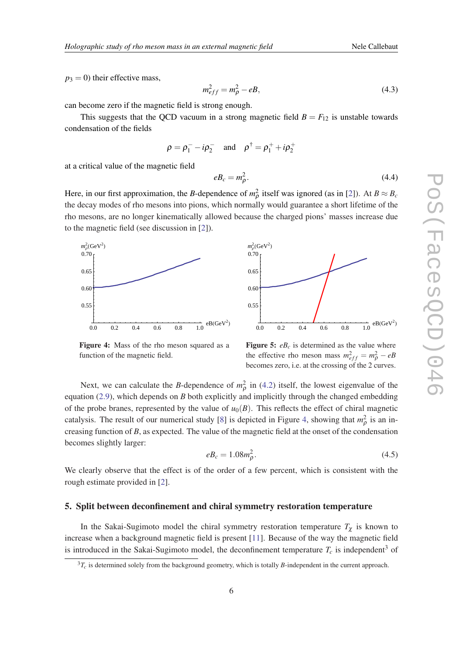$p_3 = 0$ ) their effective mass,

$$
m_{eff}^2 = m_\rho^2 - eB,\tag{4.3}
$$

can become zero if the magnetic field is strong enough.

This suggests that the QCD vacuum in a strong magnetic field  $B = F_{12}$  is unstable towards condensation of the fields

$$
\rho = \rho_1^- - i\rho_2^-
$$
 and  $\rho^{\dagger} = \rho_1^+ + i\rho_2^+$ 

at a critical value of the magnetic field

$$
e_{c} = m_{\rho}^{2}.
$$
\n
$$
(4.4)
$$

Here, in our first approximation, the *B*-dependence of  $m_{\rho}^2$  itself was ignored (as in [\[2\]](#page-7-0)). At  $B \approx B_c$ the decay modes of rho mesons into pions, which normally would guarantee a short lifetime of the rho mesons, are no longer kinematically allowed because the charged pions' masses increase due to the magnetic field (see discussion in [[2](#page-7-0)]).





Figure 4: Mass of the rho meson squared as a function of the magnetic field.

Figure 5:  $e_{c}$  is determined as the value where the effective rho meson mass  $m_{eff}^2 = m_p^2 - eB$ becomes zero, i.e. at the crossing of the 2 curves.

Next, we can calculate the *B*-dependence of  $m_{\rho}^2$  in [\(4.2\)](#page-4-0) itself, the lowest eigenvalue of the equation [\(2.9\)](#page-3-0), which depends on *B* both explicitly and implicitly through the changed embedding of the probe branes, represented by the value of  $u_0(B)$ . This reflects the effect of chiral magnetic catalysis. The result of our numerical study [[8](#page-7-0)] is depicted in Figure 4, showing that  $m_\rho^2$  is an increasing function of *B*, as expected. The value of the magnetic field at the onset of the condensation becomes slightly larger:

$$
e_c = 1.08m_\rho^2. \tag{4.5}
$$

We clearly observe that the effect is of the order of a few percent, which is consistent with the rough estimate provided in [[2](#page-7-0)].

#### 5. Split between deconfinement and chiral symmetry restoration temperature

In the Sakai-Sugimoto model the chiral symmetry restoration temperature  $T_{\chi}$  is known to increase when a background magnetic field is present [[11\]](#page-7-0). Because of the way the magnetic field is introduced in the Sakai-Sugimoto model, the deconfinement temperature  $T_c$  is independent<sup>3</sup> of

 ${}^{3}T_c$  is determined solely from the background geometry, which is totally *B*-independent in the current approach.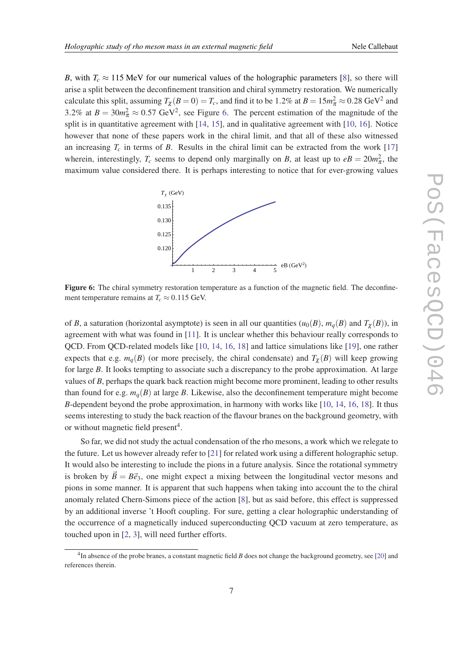*B*, with  $T_c \approx 115$  MeV for our numerical values of the holographic parameters [[8](#page-7-0)], so there will arise a split between the deconfinement transition and chiral symmetry restoration. We numerically calculate this split, assuming  $T_\chi(B=0)=T_c$ , and find it to be 1.2% at  $B=15m_\pi^2\approx 0.28~{\rm GeV^2}$  and 3.2% at  $B = 30m_{\pi}^2 \approx 0.57$  GeV<sup>2</sup>, see Figure 6. The percent estimation of the magnitude of the split is in quantitative agreement with [\[14](#page-7-0), [15\]](#page-7-0), and in qualitative agreement with [[10,](#page-7-0) [16](#page-7-0)]. Notice however that none of these papers work in the chiral limit, and that all of these also witnessed an increasing  $T_c$  in terms of *B*. Results in the chiral limit can be extracted from the work [\[17](#page-7-0)] wherein, interestingly,  $T_c$  seems to depend only marginally on *B*, at least up to  $eB = 20m_{\pi}^2$ , the maximum value considered there. It is perhaps interesting to notice that for ever-growing values



Figure 6: The chiral symmetry restoration temperature as a function of the magnetic field. The deconfinement temperature remains at  $T_c \approx 0.115$  GeV.

of *B*, a saturation (horizontal asymptote) is seen in all our quantities  $(u_0(B), m_q(B))$  and  $T_\chi(B)$ ), in agreement with what was found in [\[11](#page-7-0)]. It is unclear whether this behaviour really corresponds to QCD. From QCD-related models like [\[10](#page-7-0), [14,](#page-7-0) [16,](#page-7-0) [18](#page-7-0)] and lattice simulations like [\[19](#page-7-0)], one rather expects that e.g.  $m_q(B)$  (or more precisely, the chiral condensate) and  $T_\chi(B)$  will keep growing for large *B*. It looks tempting to associate such a discrepancy to the probe approximation. At large values of *B*, perhaps the quark back reaction might become more prominent, leading to other results than found for e.g.  $m_q(B)$  at large *B*. Likewise, also the deconfinement temperature might become *B*-dependent beyond the probe approximation, in harmony with works like [[10,](#page-7-0) [14](#page-7-0), [16](#page-7-0), [18\]](#page-7-0). It thus seems interesting to study the back reaction of the flavour branes on the background geometry, with or without magnetic field present<sup>4</sup>.

So far, we did not study the actual condensation of the rho mesons, a work which we relegate to the future. Let us however already refer to [[21\]](#page-7-0) for related work using a different holographic setup. It would also be interesting to include the pions in a future analysis. Since the rotational symmetry is broken by  $\vec{B} = B\vec{e}_3$ , one might expect a mixing between the longitudinal vector mesons and pions in some manner. It is apparent that such happens when taking into account the to the chiral anomaly related Chern-Simons piece of the action [[8](#page-7-0)], but as said before, this effect is suppressed by an additional inverse 't Hooft coupling. For sure, getting a clear holographic understanding of the occurrence of a magnetically induced superconducting QCD vacuum at zero temperature, as touched upon in [[2](#page-7-0), [3](#page-7-0)], will need further efforts.

<sup>&</sup>lt;sup>4</sup>In absence of the probe branes, a constant magnetic field *B* does not change the background geometry, see [\[20\]](#page-7-0) and references therein.